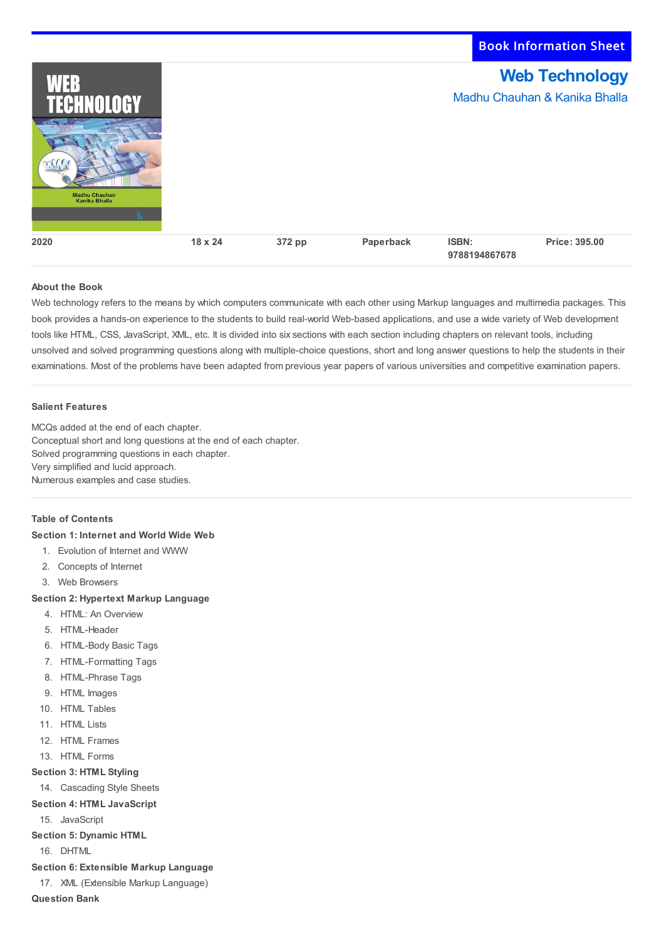| WEB<br><b>TECHNOLOGY</b>                     |                |        |           | <b>Web Technology</b><br>Madhu Chauhan & Kanika Bhalla |               |  |
|----------------------------------------------|----------------|--------|-----------|--------------------------------------------------------|---------------|--|
|                                              |                |        |           |                                                        |               |  |
| <b>Madhu Chauhan</b><br><b>Kanika Bhalla</b> |                |        |           |                                                        |               |  |
|                                              |                |        |           |                                                        |               |  |
| 2020                                         | $18 \times 24$ | 372 pp | Paperback | <b>ISBN:</b><br>9788194867678                          | Price: 395.00 |  |

Book Information Sheet

## **About the Book**

Web technology refers to the means by which computers communicate with each other using Markup languages and multimedia packages. This book provides a hands-on experience to the students to build real-world Web-based applications, and use a wide variety of Web development tools like HTML, CSS, JavaScript, XML, etc. It is divided into six sections with each section including chapters on relevant tools, including unsolved and solved programming questions along with multiple-choice questions, short and long answer questions to help the students in their examinations. Most of the problems have been adapted from previous year papers of various universities and competitive examination papers.

#### **Salient Features**

MCQs added at the end of each chapter. Conceptual short and long questions at the end of each chapter. Solved programming questions in each chapter. Very simplified and lucid approach. Numerous examples and case studies.

### **Table of Contents**

#### **Section 1: Internet and World Wide Web**

- 1. Evolution of Internet and WWW
- 2. Concepts of Internet
- 3. Web Browsers

### **Section 2: Hypertext Markup Language**

- 4. HTML: An Overview
- 5. HTML-Header
- 6. HTML-Body Basic Tags
- 7. HTML-Formatting Tags
- 8. HTML-Phrase Tags
- 9. HTML Images
- 10. HTML Tables
- 11. HTML Lists
- 12. HTML Frames
- 13. HTML Forms

#### **Section 3: HTML Styling**

- 14. Cascading Style Sheets
- **Section 4: HTML JavaScript**
- 15. JavaScript
- **Section 5: Dynamic HTML**

16. DHTML

- **Section 6: Extensible Markup Language**
- 17. XML (Extensible Markup Language)

**Question Bank**